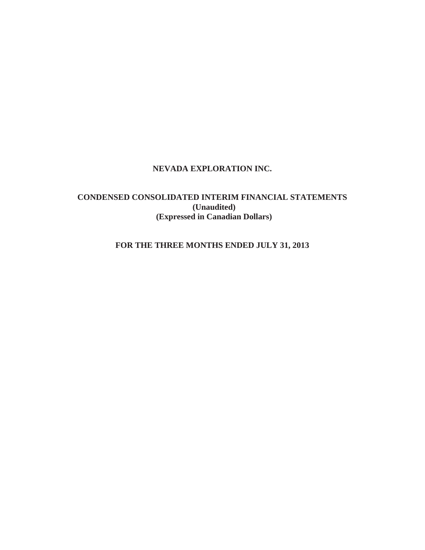## **NEVADA EXPLORATION INC.**

# **CONDENSED CONSOLIDATED INTERIM FINANCIAL STATEMENTS (Unaudited) (Expressed in Canadian Dollars)**

# **FOR THE THREE MONTHS ENDED JULY 31, 2013**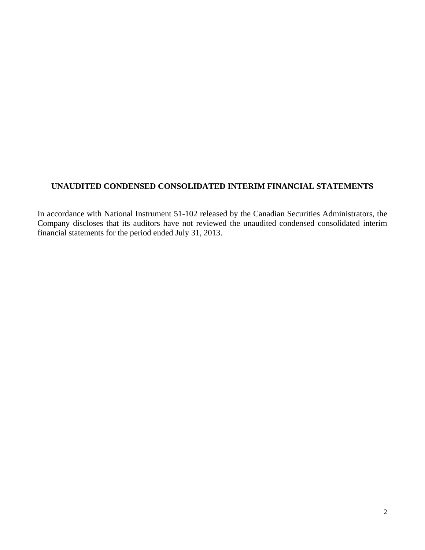# **UNAUDITED CONDENSED CONSOLIDATED INTERIM FINANCIAL STATEMENTS**

In accordance with National Instrument 51-102 released by the Canadian Securities Administrators, the Company discloses that its auditors have not reviewed the unaudited condensed consolidated interim financial statements for the period ended July 31, 2013.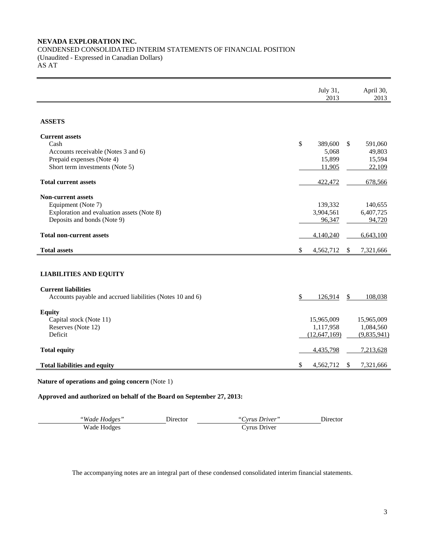## **NEVADA EXPLORATION INC.**  CONDENSED CONSOLIDATED INTERIM STATEMENTS OF FINANCIAL POSITION (Unaudited - Expressed in Canadian Dollars) AS AT

|                                                           | July 31,<br>2013 |               | April 30,<br>2013 |
|-----------------------------------------------------------|------------------|---------------|-------------------|
| <b>ASSETS</b>                                             |                  |               |                   |
| <b>Current assets</b>                                     |                  |               |                   |
| Cash                                                      | \$<br>389,600    | <sup>\$</sup> | 591,060           |
| Accounts receivable (Notes 3 and 6)                       | 5,068            |               | 49,803            |
| Prepaid expenses (Note 4)                                 | 15,899           |               | 15,594            |
| Short term investments (Note 5)                           | 11,905           |               | 22,109            |
| <b>Total current assets</b>                               | 422,472          |               | 678,566           |
| <b>Non-current assets</b>                                 |                  |               |                   |
| Equipment (Note 7)                                        | 139,332          |               | 140,655           |
| Exploration and evaluation assets (Note 8)                | 3,904,561        |               | 6,407,725         |
| Deposits and bonds (Note 9)                               | 96,347           |               | 94,720            |
| <b>Total non-current assets</b>                           | 4,140,240        |               | 6,643,100         |
| <b>Total assets</b>                                       | \$<br>4,562,712  | \$            | 7,321,666         |
|                                                           |                  |               |                   |
| <b>LIABILITIES AND EQUITY</b>                             |                  |               |                   |
| <b>Current liabilities</b>                                |                  |               |                   |
| Accounts payable and accrued liabilities (Notes 10 and 6) | \$<br>126,914    | \$            | 108,038           |
| <b>Equity</b>                                             |                  |               |                   |
| Capital stock (Note 11)                                   | 15,965,009       |               | 15,965,009        |
| Reserves (Note 12)                                        | 1,117,958        |               | 1,084,560         |
| Deficit                                                   | (12, 647, 169)   |               | (9,835,941)       |
| <b>Total equity</b>                                       | 4,435,798        |               | 7,213,628         |
| <b>Total liabilities and equity</b>                       | \$<br>4,562,712  | \$            | 7,321,666         |

**Nature of operations and going concern** (Note 1)

**Approved and authorized on behalf of the Board on September 27, 2013:**

| "Wade Hodges" | <b>Jirector</b> | "Cyrus Driver" | Jirector . |
|---------------|-----------------|----------------|------------|
| Wade Hodges   |                 | Cyrus Driver   |            |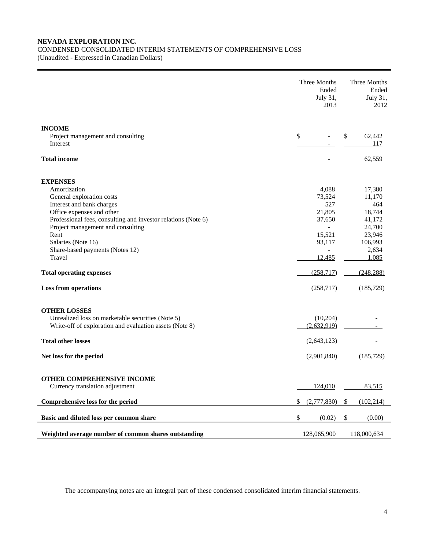## **NEVADA EXPLORATION INC.**  CONDENSED CONSOLIDATED INTERIM STATEMENTS OF COMPREHENSIVE LOSS

(Unaudited - Expressed in Canadian Dollars)

|                                                                                                                                                                                                                                                                                                                                                                           | Three Months | Three Months<br>Ended<br>July 31,<br>2012                                                            |                                                                                                                          |
|---------------------------------------------------------------------------------------------------------------------------------------------------------------------------------------------------------------------------------------------------------------------------------------------------------------------------------------------------------------------------|--------------|------------------------------------------------------------------------------------------------------|--------------------------------------------------------------------------------------------------------------------------|
| <b>INCOME</b><br>Project management and consulting<br>Interest                                                                                                                                                                                                                                                                                                            | \$           |                                                                                                      | \$<br>62,442<br>117                                                                                                      |
| <b>Total income</b>                                                                                                                                                                                                                                                                                                                                                       |              |                                                                                                      | 62,559                                                                                                                   |
| <b>EXPENSES</b><br>Amortization<br>General exploration costs<br>Interest and bank charges<br>Office expenses and other<br>Professional fees, consulting and investor relations (Note 6)<br>Project management and consulting<br>Rent<br>Salaries (Note 16)<br>Share-based payments (Notes 12)<br>Travel<br><b>Total operating expenses</b><br><b>Loss from operations</b> |              | 4,088<br>73,524<br>527<br>21,805<br>37,650<br>15,521<br>93,117<br>12,485<br>(258, 717)<br>(258, 717) | 17,380<br>11,170<br>464<br>18,744<br>41,172<br>24,700<br>23,946<br>106,993<br>2,634<br>1,085<br>(248, 288)<br>(185, 729) |
| <b>OTHER LOSSES</b><br>Unrealized loss on marketable securities (Note 5)<br>Write-off of exploration and evaluation assets (Note 8)<br><b>Total other losses</b>                                                                                                                                                                                                          |              | (10,204)<br>(2,632,919)<br>(2,643,123)                                                               |                                                                                                                          |
| Net loss for the period                                                                                                                                                                                                                                                                                                                                                   |              | (2,901,840)                                                                                          | (185, 729)                                                                                                               |
| OTHER COMPREHENSIVE INCOME<br>Currency translation adjustment<br>Comprehensive loss for the period                                                                                                                                                                                                                                                                        | \$           | 124,010<br>(2,777,830)                                                                               | \$<br>83,515<br>(102, 214)                                                                                               |
| Basic and diluted loss per common share                                                                                                                                                                                                                                                                                                                                   | \$           | (0.02)                                                                                               | \$<br>(0.00)                                                                                                             |
| Weighted average number of common shares outstanding                                                                                                                                                                                                                                                                                                                      |              | 128,065,900                                                                                          | 118,000,634                                                                                                              |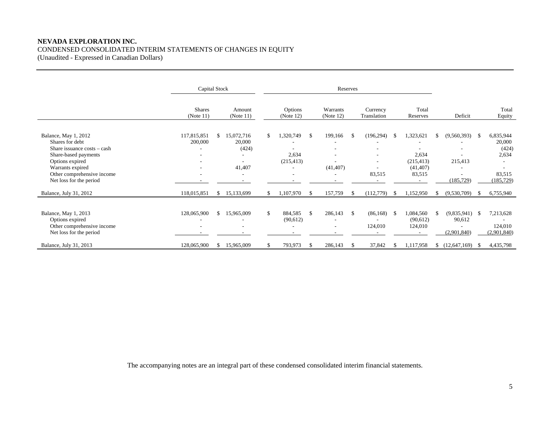## **NEVADA EXPLORATION INC.**  CONDENSED CONSOLIDATED INTERIM STATEMENTS OF CHANGES IN EQUITY

(Unaudited - Expressed in Canadian Dollars)

|                                                                                                                                                                                                | Capital Stock              |               |                                                                                                 | Reserves |                                  |     |                                          |               |                         |      |                                                         |         |                                           |     |                                                               |
|------------------------------------------------------------------------------------------------------------------------------------------------------------------------------------------------|----------------------------|---------------|-------------------------------------------------------------------------------------------------|----------|----------------------------------|-----|------------------------------------------|---------------|-------------------------|------|---------------------------------------------------------|---------|-------------------------------------------|-----|---------------------------------------------------------------|
|                                                                                                                                                                                                | <b>Shares</b><br>(Note 11) |               | Amount<br>(Note 11)                                                                             |          | Options<br>(Note 12)             |     | Warrants<br>(Note 12)                    |               | Currency<br>Translation |      | Total<br>Reserves                                       | Deficit |                                           |     | Total<br>Equity                                               |
| Balance, May 1, 2012<br>Shares for debt<br>Share issuance costs - cash<br>Share-based payments<br>Options expired<br>Warrants expired<br>Other comprehensive income<br>Net loss for the period | 117,815,851<br>200,000     | \$.           | 15,072,716<br>20,000<br>(424)<br>$\overline{\phantom{a}}$<br>$\overline{\phantom{a}}$<br>41,407 | \$       | 1,320,749<br>2,634<br>(215, 413) | -\$ | 199,166<br>۰<br>۰<br>(41, 407)           | -S            | (196, 294)<br>83,515    | - \$ | 1,323,621<br>2,634<br>(215, 413)<br>(41, 407)<br>83,515 | S.      | $(9,560,393)$ \$<br>215,413<br>(185, 729) |     | 6,835,944<br>20,000<br>(424)<br>2,634<br>83,515<br>(185, 729) |
| Balance, July 31, 2012                                                                                                                                                                         | 118,015,851                |               | \$15,133,699                                                                                    | \$       | 1,107,970                        | -S  | 157,759                                  | <sup>\$</sup> | (112,779)               | - S  | 1,152,950                                               | S.      | (9,530,709)                               | - S | 6,755,940                                                     |
| Balance, May 1, 2013<br>Options expired<br>Other comprehensive income<br>Net loss for the period                                                                                               | 128,065,900<br>۰           | $\mathcal{S}$ | 15,965,009                                                                                      | \$       | 884,585<br>(90,612)              | -\$ | 286,143<br>۰<br>$\overline{\phantom{a}}$ | $\mathcal{S}$ | (86, 168)<br>124,010    | - \$ | 1,084,560<br>(90,612)<br>124,010                        | \$      | $(9,835,941)$ \$<br>90,612<br>(2,901,840) |     | 7,213,628<br>124,010<br>(2,901,840)                           |
| Balance, July 31, 2013                                                                                                                                                                         | 128,065,900                | \$            | 15,965,009                                                                                      |          | 793,973                          | -\$ | 286,143                                  | -S            | 37,842                  |      | 1,117,958                                               |         | $$(12,647,169)$ \\$                       |     | 4,435,798                                                     |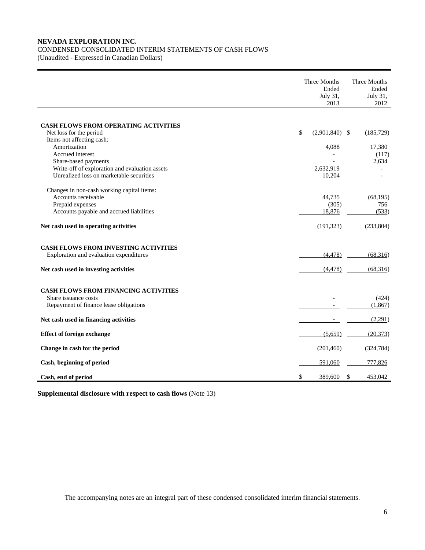## **NEVADA EXPLORATION INC.**  CONDENSED CONSOLIDATED INTERIM STATEMENTS OF CASH FLOWS

(Unaudited - Expressed in Canadian Dollars)

|                                                                                        | Three Months<br>Ended<br>July 31,<br>2013 | Three Months<br>Ended<br>July 31,<br>2012 |
|----------------------------------------------------------------------------------------|-------------------------------------------|-------------------------------------------|
|                                                                                        |                                           |                                           |
| CASH FLOWS FROM OPERATING ACTIVITIES                                                   |                                           |                                           |
| Net loss for the period                                                                | \$<br>$(2,901,840)$ \$                    | (185, 729)                                |
| Items not affecting cash:                                                              |                                           |                                           |
| Amortization                                                                           | 4,088                                     | 17,380                                    |
| Accrued interest                                                                       |                                           | (117)                                     |
| Share-based payments                                                                   |                                           | 2,634                                     |
| Write-off of exploration and evaluation assets                                         | 2.632.919                                 |                                           |
| Unrealized loss on marketable securities                                               | 10,204                                    |                                           |
| Changes in non-cash working capital items:                                             |                                           |                                           |
| Accounts receivable                                                                    | 44,735                                    | (68, 195)                                 |
| Prepaid expenses                                                                       | (305)                                     | 756                                       |
| Accounts payable and accrued liabilities                                               | 18,876                                    | (533)                                     |
| Net cash used in operating activities                                                  | (191, 323)                                | (233, 804)                                |
| <b>CASH FLOWS FROM INVESTING ACTIVITIES</b><br>Exploration and evaluation expenditures | (4, 478)                                  | (68, 316)                                 |
| Net cash used in investing activities                                                  | (4, 478)                                  | (68,316)                                  |
| CASH FLOWS FROM FINANCING ACTIVITIES                                                   |                                           |                                           |
| Share issuance costs                                                                   |                                           | (424)                                     |
| Repayment of finance lease obligations                                                 |                                           | (1,867)                                   |
| Net cash used in financing activities                                                  |                                           | (2,291)                                   |
| <b>Effect of foreign exchange</b>                                                      | (5,659)                                   | (20, 373)                                 |
| Change in cash for the period                                                          | (201, 460)                                | (324, 784)                                |
| Cash, beginning of period                                                              | 591,060                                   | 777,826                                   |
| Cash, end of period                                                                    | \$<br>389,600                             | \$<br>453,042                             |

**Supplemental disclosure with respect to cash flows** (Note 13)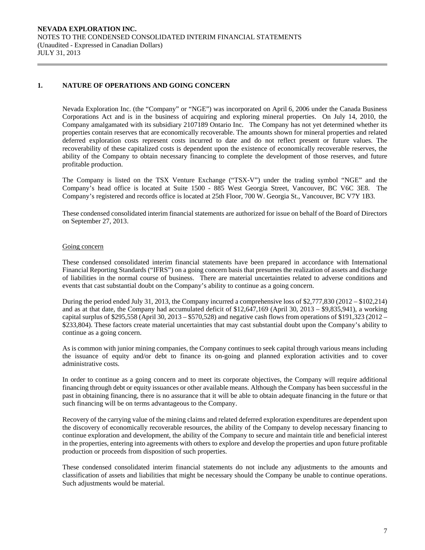## **1. NATURE OF OPERATIONS AND GOING CONCERN**

Nevada Exploration Inc. (the "Company" or "NGE") was incorporated on April 6, 2006 under the Canada Business Corporations Act and is in the business of acquiring and exploring mineral properties. On July 14, 2010, the Company amalgamated with its subsidiary 2107189 Ontario Inc. The Company has not yet determined whether its properties contain reserves that are economically recoverable. The amounts shown for mineral properties and related deferred exploration costs represent costs incurred to date and do not reflect present or future values. The recoverability of these capitalized costs is dependent upon the existence of economically recoverable reserves, the ability of the Company to obtain necessary financing to complete the development of those reserves, and future profitable production.

The Company is listed on the TSX Venture Exchange ("TSX-V") under the trading symbol "NGE" and the Company's head office is located at Suite 1500 - 885 West Georgia Street, Vancouver, BC V6C 3E8. The Company's registered and records office is located at 25th Floor, 700 W. Georgia St., Vancouver, BC V7Y 1B3.

 These condensed consolidated interim financial statements are authorized for issue on behalf of the Board of Directors on September 27, 2013.

#### Going concern

These condensed consolidated interim financial statements have been prepared in accordance with International Financial Reporting Standards ("IFRS") on a going concern basis that presumes the realization of assets and discharge of liabilities in the normal course of business. There are material uncertainties related to adverse conditions and events that cast substantial doubt on the Company's ability to continue as a going concern.

During the period ended July 31, 2013, the Company incurred a comprehensive loss of \$2,777,830 (2012 – \$102,214) and as at that date, the Company had accumulated deficit of \$12,647,169 (April 30, 2013 – \$9,835,941), a working capital surplus of  $$295,558$  (April 30, 2013 –  $$570,528$ ) and negative cash flows from operations of  $$191,323$  (2012 – \$233,804). These factors create material uncertainties that may cast substantial doubt upon the Company's ability to continue as a going concern.

As is common with junior mining companies, the Company continues to seek capital through various means including the issuance of equity and/or debt to finance its on-going and planned exploration activities and to cover administrative costs.

In order to continue as a going concern and to meet its corporate objectives, the Company will require additional financing through debt or equity issuances or other available means. Although the Company has been successful in the past in obtaining financing, there is no assurance that it will be able to obtain adequate financing in the future or that such financing will be on terms advantageous to the Company.

 Recovery of the carrying value of the mining claims and related deferred exploration expenditures are dependent upon the discovery of economically recoverable resources, the ability of the Company to develop necessary financing to continue exploration and development, the ability of the Company to secure and maintain title and beneficial interest in the properties, entering into agreements with others to explore and develop the properties and upon future profitable production or proceeds from disposition of such properties.

 These condensed consolidated interim financial statements do not include any adjustments to the amounts and classification of assets and liabilities that might be necessary should the Company be unable to continue operations. Such adjustments would be material.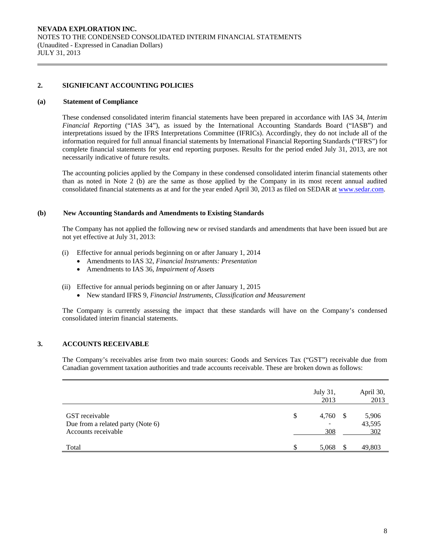## **2. SIGNIFICANT ACCOUNTING POLICIES**

#### **(a) Statement of Compliance**

 These condensed consolidated interim financial statements have been prepared in accordance with IAS 34, *Interim Financial Reporting* ("IAS 34"), as issued by the International Accounting Standards Board ("IASB") and interpretations issued by the IFRS Interpretations Committee (IFRICs). Accordingly, they do not include all of the information required for full annual financial statements by International Financial Reporting Standards ("IFRS") for complete financial statements for year end reporting purposes. Results for the period ended July 31, 2013, are not necessarily indicative of future results.

 The accounting policies applied by the Company in these condensed consolidated interim financial statements other than as noted in Note 2 (b) are the same as those applied by the Company in its most recent annual audited consolidated financial statements as at and for the year ended April 30, 2013 as filed on SEDAR at www.sedar.com.

### **(b) New Accounting Standards and Amendments to Existing Standards**

 The Company has not applied the following new or revised standards and amendments that have been issued but are not yet effective at July 31, 2013:

- (i) Effective for annual periods beginning on or after January 1, 2014
	- Amendments to IAS 32, *Financial Instruments: Presentation*
	- Amendments to IAS 36, *Impairment of Assets*
- (ii) Effective for annual periods beginning on or after January 1, 2015
	- New standard IFRS 9, *Financial Instruments, Classification and Measurement*

The Company is currently assessing the impact that these standards will have on the Company's condensed consolidated interim financial statements.

## **3. ACCOUNTS RECEIVABLE**

The Company's receivables arise from two main sources: Goods and Services Tax ("GST") receivable due from Canadian government taxation authorities and trade accounts receivable. These are broken down as follows:

|                                                                            |    | July 31,<br>2013 |      | April 30,<br>2013      |
|----------------------------------------------------------------------------|----|------------------|------|------------------------|
| GST receivable<br>Due from a related party (Note 6)<br>Accounts receivable | S  | 4,760<br>308     | - \$ | 5,906<br>43,595<br>302 |
| Total                                                                      | £. | 5,068            |      | 49,803                 |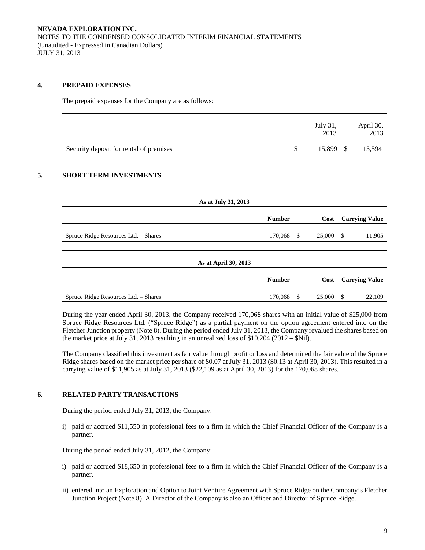### **4. PREPAID EXPENSES**

The prepaid expenses for the Company are as follows:

|                                         | July 31,<br>2013 | April 30,<br>2013 |
|-----------------------------------------|------------------|-------------------|
| Security deposit for rental of premises | 15,899           | .5,594            |

## **5. SHORT TERM INVESTMENTS**

| As at July 31, 2013                  |               |      |        |      |                       |
|--------------------------------------|---------------|------|--------|------|-----------------------|
|                                      | <b>Number</b> |      | Cost   |      | <b>Carrying Value</b> |
| Spruce Ridge Resources Ltd. - Shares | 170,068 \$    |      | 25,000 | - \$ | 11,905                |
|                                      |               |      |        |      |                       |
| As at April 30, 2013                 |               |      |        |      |                       |
|                                      | <b>Number</b> | Cost |        |      | <b>Carrying Value</b> |
| Spruce Ridge Resources Ltd. - Shares | 170,068 \$    |      | 25,000 | \$   | 22,109                |

During the year ended April 30, 2013, the Company received 170,068 shares with an initial value of \$25,000 from Spruce Ridge Resources Ltd. ("Spruce Ridge") as a partial payment on the option agreement entered into on the Fletcher Junction property (Note 8). During the period ended July 31, 2013, the Company revalued the shares based on the market price at July 31, 2013 resulting in an unrealized loss of \$10,204 (2012 – \$Nil).

The Company classified this investment as fair value through profit or loss and determined the fair value of the Spruce Ridge shares based on the market price per share of \$0.07 at July 31, 2013 (\$0.13 at April 30, 2013). This resulted in a carrying value of \$11,905 as at July 31, 2013 (\$22,109 as at April 30, 2013) for the 170,068 shares.

## **6. RELATED PARTY TRANSACTIONS**

During the period ended July 31, 2013, the Company:

i) paid or accrued \$11,550 in professional fees to a firm in which the Chief Financial Officer of the Company is a partner.

During the period ended July 31, 2012, the Company:

- i) paid or accrued \$18,650 in professional fees to a firm in which the Chief Financial Officer of the Company is a partner.
- ii) entered into an Exploration and Option to Joint Venture Agreement with Spruce Ridge on the Company's Fletcher Junction Project (Note 8). A Director of the Company is also an Officer and Director of Spruce Ridge.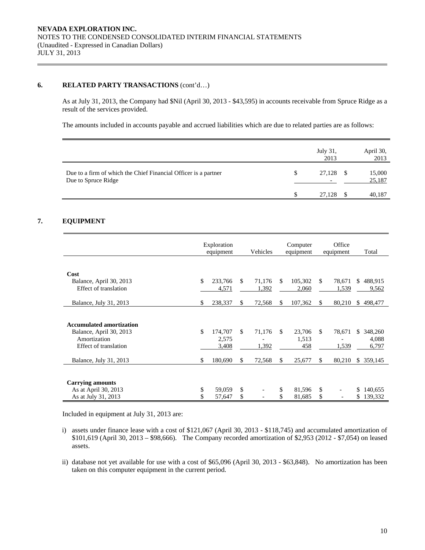## **6. RELATED PARTY TRANSACTIONS** (cont'd…)

As at July 31, 2013, the Company had \$Nil (April 30, 2013 - \$43,595) in accounts receivable from Spruce Ridge as a result of the services provided.

The amounts included in accounts payable and accrued liabilities which are due to related parties are as follows:

|                                                                                        | July 31,<br>2013 |    | April 30,<br>2013 |
|----------------------------------------------------------------------------------------|------------------|----|-------------------|
| Due to a firm of which the Chief Financial Officer is a partner<br>Due to Spruce Ridge | 27,128           | -S | 15,000<br>25,187  |
|                                                                                        | 27,128           |    | 40,187            |

## **7. EQUIPMENT**

|                                                  | Exploration<br>equipment |                  |     | Computer<br>Vehicles<br>equipment |    |                  |              | Office<br>equipment | Total                  |  |
|--------------------------------------------------|--------------------------|------------------|-----|-----------------------------------|----|------------------|--------------|---------------------|------------------------|--|
|                                                  |                          |                  |     |                                   |    |                  |              |                     |                        |  |
| Cost                                             |                          |                  |     |                                   |    |                  |              |                     |                        |  |
| Balance, April 30, 2013<br>Effect of translation | \$                       | 233,766<br>4,571 | \$  | 71.176<br>1,392                   | \$ | 105,302<br>2,060 | \$.          | 78,671<br>1,539     | 488,915<br>\$<br>9,562 |  |
| Balance, July 31, 2013                           | \$                       | 238,337          | \$  | 72,568                            | \$ | 107,362          | \$           | 80,210              | 498,477<br>S.          |  |
|                                                  |                          |                  |     |                                   |    |                  |              |                     |                        |  |
| <b>Accumulated amortization</b>                  |                          |                  |     |                                   |    |                  |              |                     |                        |  |
| Balance, April 30, 2013                          | \$                       | 174,707          | \$. | 71,176                            | \$ | 23,706           | \$.          | 78,671              | 348,260<br>\$          |  |
| Amortization                                     |                          | 2,575            |     |                                   |    | 1,513            |              |                     | 4,088                  |  |
| Effect of translation                            |                          | 3,408            |     | 1,392                             |    | 458              |              | 1,539               | 6,797                  |  |
| Balance, July 31, 2013                           | \$                       | 180,690          | S.  | 72,568                            | \$ | 25,677           | S            | 80,210              | 359,145<br>\$.         |  |
|                                                  |                          |                  |     |                                   |    |                  |              |                     |                        |  |
| <b>Carrying amounts</b>                          |                          |                  |     |                                   |    |                  |              |                     |                        |  |
| As at April 30, 2013                             | \$                       | 59,059           | \$  |                                   | \$ | 81,596           | $\mathbb{S}$ |                     | 140,655<br>\$          |  |
| As at July 31, 2013                              |                          | 57,647           | \$  |                                   |    | 81,685           | \$           |                     | 139,332<br>\$          |  |

Included in equipment at July 31, 2013 are:

- i) assets under finance lease with a cost of \$121,067 (April 30, 2013 \$118,745) and accumulated amortization of \$101,619 (April 30, 2013 – \$98,666). The Company recorded amortization of \$2,953 (2012 - \$7,054) on leased assets.
- ii) database not yet available for use with a cost of \$65,096 (April 30, 2013 \$63,848). No amortization has been taken on this computer equipment in the current period.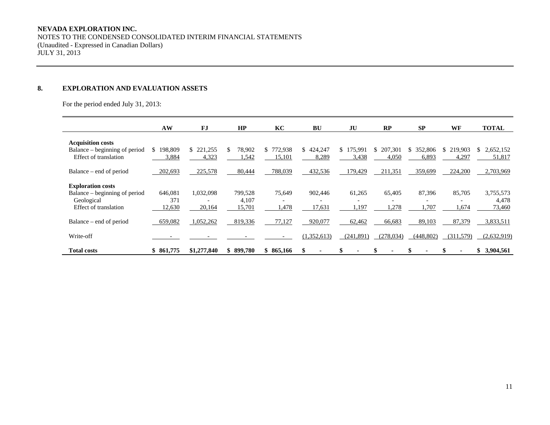## **NEVADA EXPLORATION INC.**

 NOTES TO THE CONDENSED CONSOLIDATED INTERIM FINANCIAL STATEMENTS (Unaudited - Expressed in Canadian Dollars) JULY 31, 2013

#### **8. EXPLORATION AND EVALUATION ASSETS**

For the period ended July 31, 2013:

|                               | AW            | <b>FJ</b>     | HP          | KC            | <b>BU</b>   | JU                        | RP         | <b>SP</b>     | WF            | <b>TOTAL</b>    |
|-------------------------------|---------------|---------------|-------------|---------------|-------------|---------------------------|------------|---------------|---------------|-----------------|
| <b>Acquisition costs</b>      |               |               |             |               |             |                           |            |               |               |                 |
| Balance – beginning of period | 198,809<br>S. | 221,255<br>S. | 78,902<br>S | 772,938<br>S. | \$424,247   | .75.991<br>S <sub>1</sub> | 207,301    | 352,806<br>S. | 219,903<br>S. | 2,652,152<br>S. |
| Effect of translation         | 3,884         | 4,323         | 1,542       | 15,101        | 8,289       | 3,438                     | 4,050      | 6,893         | 4,297         | 51,817          |
| Balance – end of period       | 202,693       | 225,578       | 80,444      | 788,039       | 432,536     | 179,429                   | 211,351    | 359,699       | 224,200       | 2,703,969       |
| <b>Exploration costs</b>      |               |               |             |               |             |                           |            |               |               |                 |
| Balance – beginning of period | 646,081       | 1,032,098     | 799,528     | 75,649        | 902,446     | 61,265                    | 65,405     | 87,396        | 85,705        | 3,755,573       |
| Geological                    | 371           |               | 4.107       |               |             | $\overline{\phantom{0}}$  |            |               |               | 4,478           |
| Effect of translation         | 12,630        | 20,164        | 15,701      | 1,478         | 17,631      | 1,197                     | .278       | .707          | .674          | 73,460          |
| Balance – end of period       | 659,082       | 1,052,262     | 819,336     | 77,127        | 920,077     | 62,462                    | 66,683     | 89,103        | 87,379        | 3,833,511       |
| Write-off                     |               |               |             |               | (1,352,613) | (241,891)                 | (278, 034) | (448, 802)    | (311,579)     | (2,632,919)     |
| <b>Total costs</b>            | \$861,775     | \$1,277,840   | 899,780     | 865,166<br>\$ |             |                           |            |               |               | \$ 3,904,561    |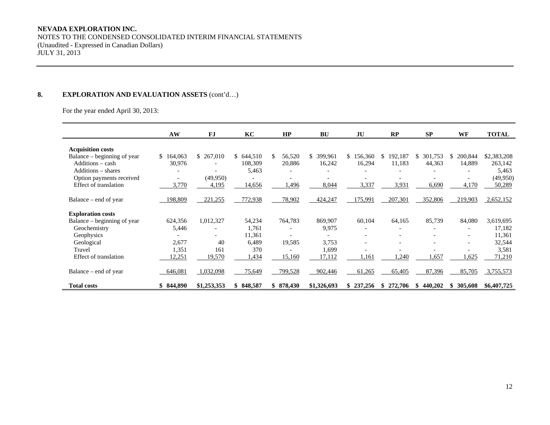#### **NEVADA EXPLORATION INC.**

NOTES TO THE CONDENSED CONSOLIDATED INTERIM FINANCIAL STATEMENTS (Unaudited - Expressed in Canadian Dollars) JULY 31, 2013

## 8. **EXPLORATION AND EVALUATION ASSETS** (cont'd...)

For the year ended April 30, 2013:

|                             | AW             | <b>FJ</b>                | KC        | HP           | <b>BU</b>                | JU             | RP            | SP             | WF                       | <b>TOTAL</b> |
|-----------------------------|----------------|--------------------------|-----------|--------------|--------------------------|----------------|---------------|----------------|--------------------------|--------------|
|                             |                |                          |           |              |                          |                |               |                |                          |              |
| <b>Acquisition costs</b>    |                |                          |           |              |                          |                |               |                |                          |              |
| Balance – beginning of year | 164,063<br>SS. | \$ 267,010               | \$644,510 | 56,520<br>S. | 399,961<br><sup>\$</sup> | \$156,360      | 192,187<br>\$ | 301,753<br>S.  | 200,844<br>S.            | \$2,383,208  |
| Additions - cash            | 30,976         |                          | 108,309   | 20,886       | 16,242                   | 16,294         | 11,183        | 44,363         | 14,889                   | 263,142      |
| Additions – shares          |                |                          | 5,463     |              |                          |                |               |                |                          | 5,463        |
| Option payments received    |                | (49,950)                 |           |              |                          |                |               |                |                          | (49, 950)    |
| Effect of translation       | 3,770          | 4,195                    | 14,656    | ,496         | 8,044                    | 3,337          | 3,931         | 6,690          | 4,170                    | 50,289       |
|                             |                |                          |           |              |                          |                |               |                |                          |              |
| Balance – end of year       | 198,809        | 221,255                  | 772,938   | 78,902       | 424,247                  | 175,991        | 207,301       | 352,806        | 219,903                  | 2,652,152    |
| <b>Exploration costs</b>    |                |                          |           |              |                          |                |               |                |                          |              |
| Balance – beginning of year | 624,356        | 1,012,327                | 54,234    | 764,783      | 869,907                  | 60,104         | 64,165        | 85,739         | 84,080                   | 3,619,695    |
| Geochemistry                | 5,446          | ۰                        | 1,761     |              | 9,975                    | ٠              |               |                |                          | 17,182       |
| Geophysics                  |                | $\overline{\phantom{a}}$ | 11,361    |              |                          |                |               |                | $\overline{\phantom{a}}$ | 11,361       |
| Geological                  | 2,677          | 40                       | 6.489     | 19,585       | 3,753                    |                |               |                |                          | 32,544       |
| Travel                      | 1,351          | 161                      | 370       |              | 1.699                    |                |               |                |                          | 3,581        |
| Effect of translation       | 12,251         | 19,570                   | 1,434     | 15,160       | 17,112                   | .161           | 1,240         | 1,657          | 1,625                    | 71,210       |
|                             |                |                          |           |              |                          |                |               |                |                          |              |
| Balance – end of year       | 646,081        | 1,032,098                | 75,649    | 799,528      | 902,446                  | 61,265         | 65,405        | 87,396         | 85,705                   | 3,755,573    |
|                             |                |                          |           |              |                          |                |               |                |                          |              |
| <b>Total costs</b>          | \$844,890      | \$1,253,353              | \$848,587 | \$878,430    | \$1,326,693              | 237,256<br>\$. | 272,706<br>\$ | 440,202<br>SS. | 305,608<br>SS.           | \$6,407,725  |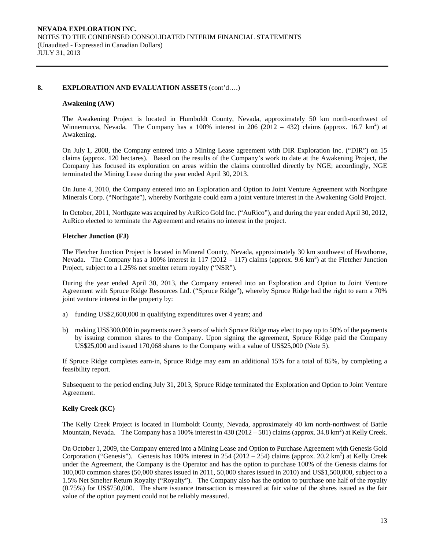### **8. EXPLORATION AND EVALUATION ASSETS** (cont'd….)

#### **Awakening (AW)**

The Awakening Project is located in Humboldt County, Nevada, approximately 50 km north-northwest of Winnemucca, Nevada. The Company has a 100% interest in 206 (2012 – 432) claims (approx. 16.7 km<sup>2</sup>) at Awakening.

On July 1, 2008, the Company entered into a Mining Lease agreement with DIR Exploration Inc. ("DIR") on 15 claims (approx. 120 hectares). Based on the results of the Company's work to date at the Awakening Project, the Company has focused its exploration on areas within the claims controlled directly by NGE; accordingly, NGE terminated the Mining Lease during the year ended April 30, 2013.

On June 4, 2010, the Company entered into an Exploration and Option to Joint Venture Agreement with Northgate Minerals Corp. ("Northgate"), whereby Northgate could earn a joint venture interest in the Awakening Gold Project.

In October, 2011, Northgate was acquired by AuRico Gold Inc. ("AuRico"), and during the year ended April 30, 2012, AuRico elected to terminate the Agreement and retains no interest in the project.

#### **Fletcher Junction (FJ)**

The Fletcher Junction Project is located in Mineral County, Nevada, approximately 30 km southwest of Hawthorne, Nevada. The Company has a 100% interest in 117 (2012 – 117) claims (approx. 9.6 km<sup>2</sup>) at the Fletcher Junction Project, subject to a 1.25% net smelter return royalty ("NSR").

During the year ended April 30, 2013, the Company entered into an Exploration and Option to Joint Venture Agreement with Spruce Ridge Resources Ltd. ("Spruce Ridge"), whereby Spruce Ridge had the right to earn a 70% joint venture interest in the property by:

- a) funding US\$2,600,000 in qualifying expenditures over 4 years; and
- b) making US\$300,000 in payments over 3 years of which Spruce Ridge may elect to pay up to 50% of the payments by issuing common shares to the Company. Upon signing the agreement, Spruce Ridge paid the Company US\$25,000 and issued 170,068 shares to the Company with a value of US\$25,000 (Note 5).

If Spruce Ridge completes earn-in, Spruce Ridge may earn an additional 15% for a total of 85%, by completing a feasibility report.

Subsequent to the period ending July 31, 2013, Spruce Ridge terminated the Exploration and Option to Joint Venture Agreement.

#### **Kelly Creek (KC)**

The Kelly Creek Project is located in Humboldt County, Nevada, approximately 40 km north-northwest of Battle Mountain, Nevada. The Company has a 100% interest in  $430(2012 - 581)$  claims (approx. 34.8 km<sup>2</sup>) at Kelly Creek.

On October 1, 2009, the Company entered into a Mining Lease and Option to Purchase Agreement with Genesis Gold Corporation ("Genesis"). Genesis has 100% interest in 254 (2012 – 254) claims (approx. 20.2 km<sup>2</sup>) at Kelly Creek under the Agreement, the Company is the Operator and has the option to purchase 100% of the Genesis claims for 100,000 common shares (50,000 shares issued in 2011, 50,000 shares issued in 2010) and US\$1,500,000, subject to a 1.5% Net Smelter Return Royalty ("Royalty"). The Company also has the option to purchase one half of the royalty (0.75%) for US\$750,000. The share issuance transaction is measured at fair value of the shares issued as the fair value of the option payment could not be reliably measured.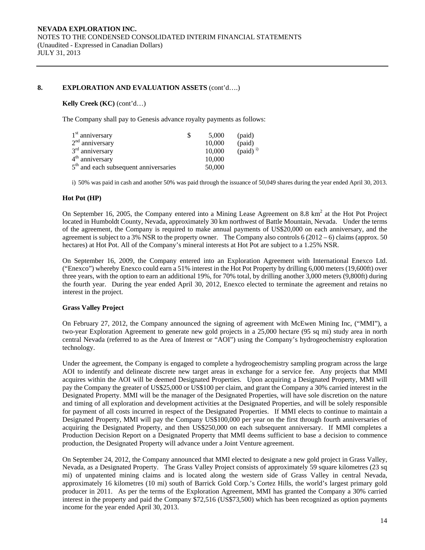## 8. EXPLORATION AND EVALUATION ASSETS  $(cont'd....)$

### **Kelly Creek (KC)** (cont'd…)

The Company shall pay to Genesis advance royalty payments as follows:

| $1st$ anniversary                                 | 5.000  | (paid)               |
|---------------------------------------------------|--------|----------------------|
| $2nd$ anniversary                                 | 10,000 | (paid)               |
| $3rd$ anniversary                                 | 10,000 | (paid) <sup>i)</sup> |
| $4th$ anniversary                                 | 10,000 |                      |
| 5 <sup>th</sup> and each subsequent anniversaries | 50,000 |                      |

i) 50% was paid in cash and another 50% was paid through the issuance of 50,049 shares during the year ended April 30, 2013.

### **Hot Pot (HP)**

On September 16, 2005, the Company entered into a Mining Lease Agreement on 8.8  $km^2$  at the Hot Project located in Humboldt County, Nevada, approximately 30 km northwest of Battle Mountain, Nevada. Under the terms of the agreement, the Company is required to make annual payments of US\$20,000 on each anniversary, and the agreement is subject to a 3% NSR to the property owner. The Company also controls  $6(2012-6)$  claims (approx. 50) hectares) at Hot Pot. All of the Company's mineral interests at Hot Pot are subject to a 1.25% NSR.

On September 16, 2009, the Company entered into an Exploration Agreement with International Enexco Ltd. ("Enexco") whereby Enexco could earn a 51% interest in the Hot Pot Property by drilling 6,000 meters (19,600ft) over three years, with the option to earn an additional 19%, for 70% total, by drilling another 3,000 meters (9,800ft) during the fourth year. During the year ended April 30, 2012, Enexco elected to terminate the agreement and retains no interest in the project.

## **Grass Valley Project**

On February 27, 2012, the Company announced the signing of agreement with McEwen Mining Inc, ("MMI"), a two-year Exploration Agreement to generate new gold projects in a 25,000 hectare (95 sq mi) study area in north central Nevada (referred to as the Area of Interest or "AOI") using the Company's hydrogeochemistry exploration technology.

Under the agreement, the Company is engaged to complete a hydrogeochemistry sampling program across the large AOI to indentify and delineate discrete new target areas in exchange for a service fee. Any projects that MMI acquires within the AOI will be deemed Designated Properties. Upon acquiring a Designated Property, MMI will pay the Company the greater of US\$25,000 or US\$100 per claim, and grant the Company a 30% carried interest in the Designated Property. MMI will be the manager of the Designated Properties, will have sole discretion on the nature and timing of all exploration and development activities at the Designated Properties, and will be solely responsible for payment of all costs incurred in respect of the Designated Properties. If MMI elects to continue to maintain a Designated Property, MMI will pay the Company US\$100,000 per year on the first through fourth anniversaries of acquiring the Designated Property, and then US\$250,000 on each subsequent anniversary. If MMI completes a Production Decision Report on a Designated Property that MMI deems sufficient to base a decision to commence production, the Designated Property will advance under a Joint Venture agreement.

On September 24, 2012, the Company announced that MMI elected to designate a new gold project in Grass Valley, Nevada, as a Designated Property. The Grass Valley Project consists of approximately 59 square kilometres (23 sq mi) of unpatented mining claims and is located along the western side of Grass Valley in central Nevada, approximately 16 kilometres (10 mi) south of Barrick Gold Corp.'s Cortez Hills, the world's largest primary gold producer in 2011. As per the terms of the Exploration Agreement, MMI has granted the Company a 30% carried interest in the property and paid the Company \$72,516 (US\$73,500) which has been recognized as option payments income for the year ended April 30, 2013.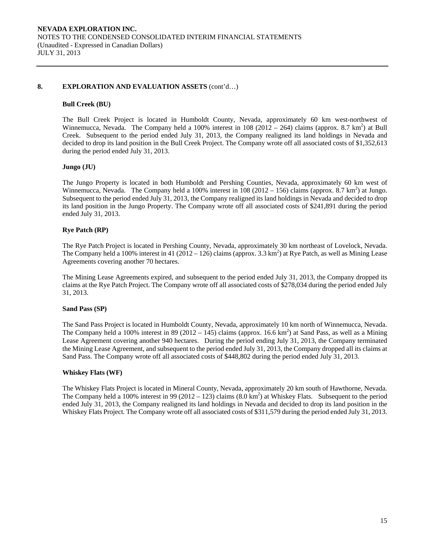#### **8. EXPLORATION AND EVALUATION ASSETS** (cont'd…)

### **Bull Creek (BU)**

The Bull Creek Project is located in Humboldt County, Nevada, approximately 60 km west-northwest of Winnemucca, Nevada. The Company held a 100% interest in 108 (2012 – 264) claims (approx. 8.7 km<sup>2</sup>) at Bull Creek. Subsequent to the period ended July 31, 2013, the Company realigned its land holdings in Nevada and decided to drop its land position in the Bull Creek Project. The Company wrote off all associated costs of \$1,352,613 during the period ended July 31, 2013.

## **Jungo (JU)**

The Jungo Property is located in both Humboldt and Pershing Counties, Nevada, approximately 60 km west of Winnemucca, Nevada. The Company held a 100% interest in  $108 (2012 - 156)$  claims (approx. 8.7 km<sup>2</sup>) at Jungo. Subsequent to the period ended July 31, 2013, the Company realigned its land holdings in Nevada and decided to drop its land position in the Jungo Property. The Company wrote off all associated costs of \$241,891 during the period ended July 31, 2013.

## **Rye Patch (RP)**

The Rye Patch Project is located in Pershing County, Nevada, approximately 30 km northeast of Lovelock, Nevada. The Company held a 100% interest in 41 (2012 – 126) claims (approx. 3.3 km<sup>2</sup>) at Rye Patch, as well as Mining Lease Agreements covering another 70 hectares.

The Mining Lease Agreements expired, and subsequent to the period ended July 31, 2013, the Company dropped its claims at the Rye Patch Project. The Company wrote off all associated costs of \$278,034 during the period ended July 31, 2013.

## **Sand Pass (SP)**

The Sand Pass Project is located in Humboldt County, Nevada, approximately 10 km north of Winnemucca, Nevada. The Company held a 100% interest in 89 (2012 – 145) claims (approx. 16.6 km<sup>2</sup>) at Sand Pass, as well as a Mining Lease Agreement covering another 940 hectares. During the period ending July 31, 2013, the Company terminated the Mining Lease Agreement, and subsequent to the period ended July 31, 2013, the Company dropped all its claims at Sand Pass. The Company wrote off all associated costs of \$448,802 during the period ended July 31, 2013.

#### **Whiskey Flats (WF)**

The Whiskey Flats Project is located in Mineral County, Nevada, approximately 20 km south of Hawthorne, Nevada. The Company held a 100% interest in 99 (2012 – 123) claims  $(8.0 \text{ km}^2)$  at Whiskey Flats. Subsequent to the period ended July 31, 2013, the Company realigned its land holdings in Nevada and decided to drop its land position in the Whiskey Flats Project. The Company wrote off all associated costs of \$311,579 during the period ended July 31, 2013.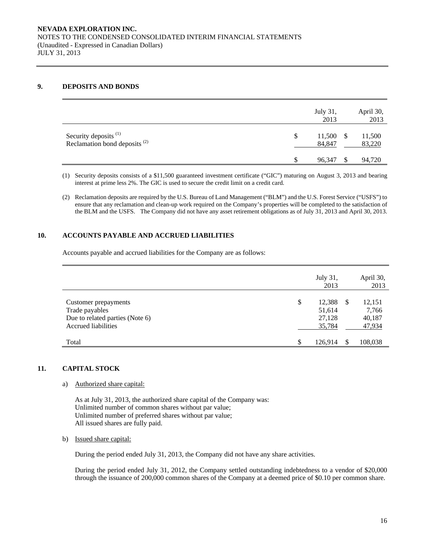## **9. DEPOSITS AND BONDS**

|                                                                              |    | July 31,<br>2013 | April 30,<br>2013 |
|------------------------------------------------------------------------------|----|------------------|-------------------|
| Security deposits <sup>(1)</sup><br>Reclamation bond deposits <sup>(2)</sup> | S  | 11,500<br>84,847 | 11,500<br>83,220  |
|                                                                              | J. | 96.347           | 94,720            |

(1) Security deposits consists of a \$11,500 guaranteed investment certificate ("GIC") maturing on August 3, 2013 and bearing interest at prime less 2%. The GIC is used to secure the credit limit on a credit card.

(2) Reclamation deposits are required by the U.S. Bureau of Land Management ("BLM") and the U.S. Forest Service ("USFS") to ensure that any reclamation and clean-up work required on the Company's properties will be completed to the satisfaction of the BLM and the USFS. The Company did not have any asset retirement obligations as of July 31, 2013 and April 30, 2013.

## **10. ACCOUNTS PAYABLE AND ACCRUED LIABILITIES**

Accounts payable and accrued liabilities for the Company are as follows:

|                                                                                                  |     | July 31,<br>2013                     |    | April 30,<br>2013                   |
|--------------------------------------------------------------------------------------------------|-----|--------------------------------------|----|-------------------------------------|
| Customer prepayments<br>Trade payables<br>Due to related parties (Note 6)<br>Accrued liabilities | \$  | 12,388<br>51,614<br>27,128<br>35,784 | -S | 12,151<br>7,766<br>40,187<br>47,934 |
| Total                                                                                            | \$. | 126.914                              |    | 108,038                             |

## **11. CAPITAL STOCK**

a) Authorized share capital:

As at July 31, 2013, the authorized share capital of the Company was: Unlimited number of common shares without par value; Unlimited number of preferred shares without par value; All issued shares are fully paid.

b) Issued share capital:

During the period ended July 31, 2013, the Company did not have any share activities.

During the period ended July 31, 2012, the Company settled outstanding indebtedness to a vendor of \$20,000 through the issuance of 200,000 common shares of the Company at a deemed price of \$0.10 per common share.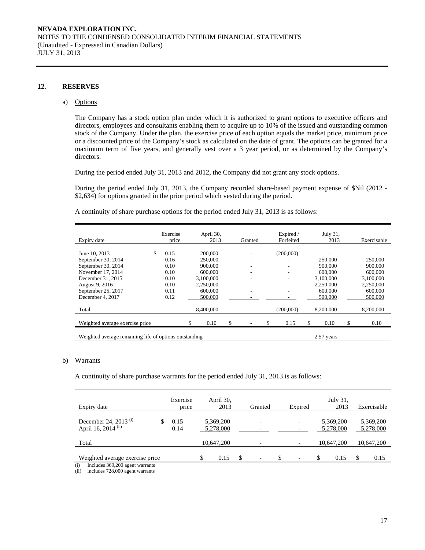#### **12. RESERVES**

#### a) Options

The Company has a stock option plan under which it is authorized to grant options to executive officers and directors, employees and consultants enabling them to acquire up to 10% of the issued and outstanding common stock of the Company. Under the plan, the exercise price of each option equals the market price, minimum price or a discounted price of the Company's stock as calculated on the date of grant. The options can be granted for a maximum term of five years, and generally vest over a 3 year period, or as determined by the Company's directors.

During the period ended July 31, 2013 and 2012, the Company did not grant any stock options.

During the period ended July 31, 2013, the Company recorded share-based payment expense of \$Nil (2012 - \$2,634) for options granted in the prior period which vested during the period.

A continuity of share purchase options for the period ended July 31, 2013 is as follows:

| Expiry date                                            |     | Exercise<br>price |  | April 30,<br>2013 |    | Granted | Expired /<br>Forfeited |            | July 31,<br>2013 | Exercisable |
|--------------------------------------------------------|-----|-------------------|--|-------------------|----|---------|------------------------|------------|------------------|-------------|
|                                                        |     |                   |  |                   |    |         |                        |            |                  |             |
| June 10, 2013                                          | \$. | 0.15              |  | 200,000           |    |         | (200,000)              |            |                  |             |
| September 30, 2014                                     |     | 0.16              |  | 250,000           |    |         |                        |            | 250,000          | 250,000     |
| September 30, 2014                                     |     | 0.10              |  | 900,000           |    |         | ٠                      |            | 900,000          | 900,000     |
| November 17, 2014                                      |     | 0.10              |  | 600,000           |    |         |                        |            | 600,000          | 600,000     |
| December 31, 2015                                      |     | 0.10              |  | 3.100.000         |    |         |                        |            | 3.100.000        | 3.100.000   |
| August 9, 2016                                         |     | 0.10              |  | 2.250,000         |    |         |                        |            | 2,250,000        | 2,250,000   |
| September 25, 2017                                     |     | 0.11              |  | 600,000           |    |         |                        |            | 600,000          | 600,000     |
| December 4, 2017                                       |     | 0.12              |  | 500,000           |    |         |                        |            | 500,000          | 500,000     |
| Total                                                  |     |                   |  | 8,400,000         |    |         | (200,000)              |            | 8,200,000        | 8,200,000   |
| Weighted average exercise price                        |     |                   |  | 0.10              | \$ |         | \$<br>0.15             | S          | 0.10             | \$<br>0.10  |
|                                                        |     |                   |  |                   |    |         |                        |            |                  |             |
| Weighted average remaining life of options outstanding |     |                   |  |                   |    |         |                        | 2.57 years |                  |             |

#### b) Warrants

A continuity of share purchase warrants for the period ended July 31, 2013 is as follows:

| Expiry date                                                               | Exercise<br>price | April 30,<br>2013      |     | Granted                  | Expired                        |   | July 31,<br>2013       |   | Exercisable            |
|---------------------------------------------------------------------------|-------------------|------------------------|-----|--------------------------|--------------------------------|---|------------------------|---|------------------------|
| December 24, 2013 <sup>(i)</sup><br>April 16, 2014 (ii)                   | 0.15<br>0.14      | 5,369,200<br>5,278,000 |     |                          |                                |   | 5,369,200<br>5,278,000 |   | 5,369,200<br>5,278,000 |
| Total                                                                     |                   | 10.647.200             |     |                          |                                |   | 10.647.200             |   | 10,647,200             |
| Weighted average exercise price<br>(i)<br>Includes 369,200 agent warrants |                   | \$<br>0.15             | \$. | $\overline{\phantom{0}}$ | \$<br>$\overline{\phantom{0}}$ | S | 0.15                   | S | 0.15                   |

(ii) includes 728,000 agent warrants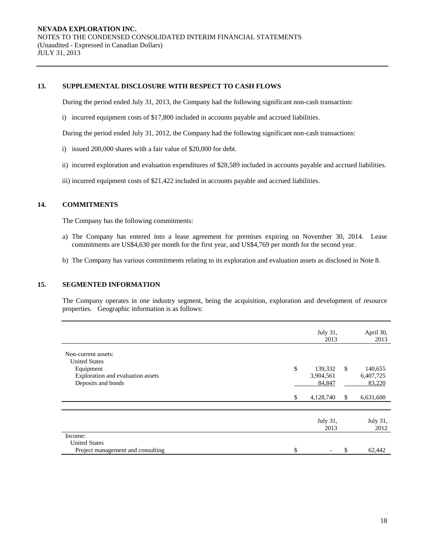### **13. SUPPLEMENTAL DISCLOSURE WITH RESPECT TO CASH FLOWS**

During the period ended July 31, 2013, the Company had the following significant non-cash transaction:

i) incurred equipment costs of \$17,800 included in accounts payable and accrued liabilities.

During the period ended July 31, 2012, the Company had the following significant non-cash transactions:

- i) issued 200,000 shares with a fair value of \$20,000 for debt.
- ii) incurred exploration and evaluation expenditures of \$28,589 included in accounts payable and accrued liabilities.
- iii) incurred equipment costs of \$21,422 included in accounts payable and accrued liabilities.

### **14. COMMITMENTS**

The Company has the following commitments:

- a) The Company has entered into a lease agreement for premises expiring on November 30, 2014. Lease commitments are US\$4,630 per month for the first year, and US\$4,769 per month for the second year.
- b) The Company has various commitments relating to its exploration and evaluation assets as disclosed in Note 8.

## **15. SEGMENTED INFORMATION**

The Company operates in one industry segment, being the acquisition, exploration and development of resource properties. Geographic information is as follows:

|                                             |     | July 31,<br>2013 |               | April 30,<br>2013 |
|---------------------------------------------|-----|------------------|---------------|-------------------|
| Non-current assets:<br><b>United States</b> |     |                  |               |                   |
| Equipment                                   | \$  | 139,332          | $\mathcal{S}$ | 140,655           |
| Exploration and evaluation assets           |     | 3,904,561        |               | 6,407,725         |
| Deposits and bonds                          |     | 84,847           |               | 83,220            |
|                                             | \$. | 4,128,740        | <sup>\$</sup> | 6,631,600         |
|                                             |     |                  |               |                   |
|                                             |     | July 31,<br>2013 |               | July 31,<br>2012  |
| Income:                                     |     |                  |               |                   |
| <b>United States</b>                        |     |                  |               |                   |
| Project management and consulting           | \$  |                  | \$            | 62,442            |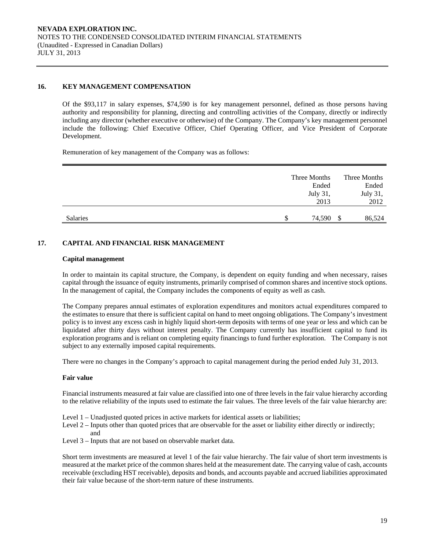## **16. KEY MANAGEMENT COMPENSATION**

Of the \$93,117 in salary expenses, \$74,590 is for key management personnel, defined as those persons having authority and responsibility for planning, directing and controlling activities of the Company, directly or indirectly including any director (whether executive or otherwise) of the Company. The Company's key management personnel include the following: Chief Executive Officer, Chief Operating Officer, and Vice President of Corporate Development.

Remuneration of key management of the Company was as follows:

|                 | Three Months<br>Ended |    | Three Months<br>Ended |
|-----------------|-----------------------|----|-----------------------|
|                 | July 31,<br>2013      |    | July 31,<br>2012      |
| <b>Salaries</b> | 74.590<br>S           | -S | 86,524                |

## **17. CAPITAL AND FINANCIAL RISK MANAGEMENT**

#### **Capital management**

In order to maintain its capital structure, the Company, is dependent on equity funding and when necessary, raises capital through the issuance of equity instruments, primarily comprised of common shares and incentive stock options. In the management of capital, the Company includes the components of equity as well as cash.

The Company prepares annual estimates of exploration expenditures and monitors actual expenditures compared to the estimates to ensure that there is sufficient capital on hand to meet ongoing obligations. The Company's investment policy is to invest any excess cash in highly liquid short-term deposits with terms of one year or less and which can be liquidated after thirty days without interest penalty. The Company currently has insufficient capital to fund its exploration programs and is reliant on completing equity financings to fund further exploration. The Company is not subject to any externally imposed capital requirements.

There were no changes in the Company's approach to capital management during the period ended July 31, 2013.

#### **Fair value**

Financial instruments measured at fair value are classified into one of three levels in the fair value hierarchy according to the relative reliability of the inputs used to estimate the fair values. The three levels of the fair value hierarchy are:

- Level 1 Unadjusted quoted prices in active markets for identical assets or liabilities;
- Level 2 Inputs other than quoted prices that are observable for the asset or liability either directly or indirectly; and
- Level 3 Inputs that are not based on observable market data.

Short term investments are measured at level 1 of the fair value hierarchy. The fair value of short term investments is measured at the market price of the common shares held at the measurement date. The carrying value of cash, accounts receivable (excluding HST receivable), deposits and bonds, and accounts payable and accrued liabilities approximated their fair value because of the short-term nature of these instruments.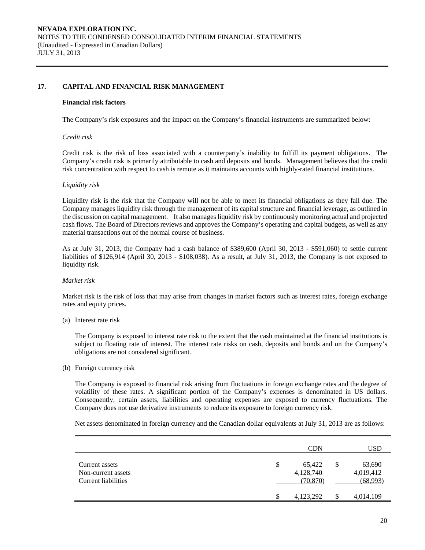## **17. CAPITAL AND FINANCIAL RISK MANAGEMENT**

#### **Financial risk factors**

The Company's risk exposures and the impact on the Company's financial instruments are summarized below:

#### *Credit risk*

 Credit risk is the risk of loss associated with a counterparty's inability to fulfill its payment obligations. The Company's credit risk is primarily attributable to cash and deposits and bonds. Management believes that the credit risk concentration with respect to cash is remote as it maintains accounts with highly-rated financial institutions.

#### *Liquidity risk*

Liquidity risk is the risk that the Company will not be able to meet its financial obligations as they fall due. The Company manages liquidity risk through the management of its capital structure and financial leverage, as outlined in the discussion on capital management. It also manages liquidity risk by continuously monitoring actual and projected cash flows. The Board of Directors reviews and approves the Company's operating and capital budgets, as well as any material transactions out of the normal course of business.

As at July 31, 2013, the Company had a cash balance of \$389,600 (April 30, 2013 - \$591,060) to settle current liabilities of \$126,914 (April 30, 2013 - \$108,038). As a result, at July 31, 2013, the Company is not exposed to liquidity risk.

#### *Market risk*

Market risk is the risk of loss that may arise from changes in market factors such as interest rates, foreign exchange rates and equity prices.

(a) Interest rate risk

 The Company is exposed to interest rate risk to the extent that the cash maintained at the financial institutions is subject to floating rate of interest. The interest rate risks on cash, deposits and bonds and on the Company's obligations are not considered significant.

(b) Foreign currency risk

The Company is exposed to financial risk arising from fluctuations in foreign exchange rates and the degree of volatility of these rates. A significant portion of the Company's expenses is denominated in US dollars. Consequently, certain assets, liabilities and operating expenses are exposed to currency fluctuations. The Company does not use derivative instruments to reduce its exposure to foreign currency risk.

Net assets denominated in foreign currency and the Canadian dollar equivalents at July 31, 2013 are as follows:

|                                                                    |   | <b>CDN</b>                       |    | <b>USD</b>                      |
|--------------------------------------------------------------------|---|----------------------------------|----|---------------------------------|
| Current assets<br>Non-current assets<br><b>Current liabilities</b> | S | 65,422<br>4,128,740<br>(70, 870) | \$ | 63,690<br>4,019,412<br>(68,993) |
|                                                                    | S | 4,123,292                        | S  | 4,014,109                       |